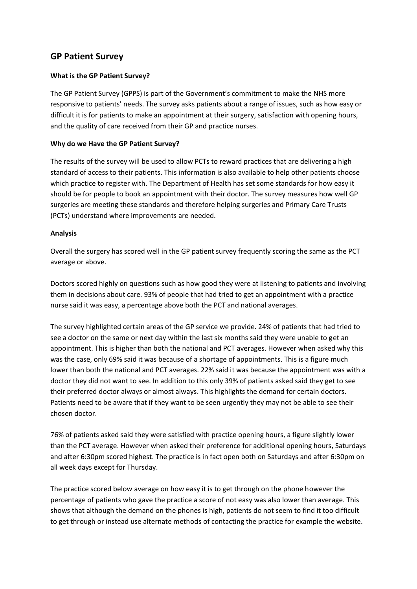# **GP Patient Survey**

## **What is the GP Patient Survey?**

The GP Patient Survey (GPPS) is part of the Government's commitment to make the NHS more responsive to patients' needs. The survey asks patients about a range of issues, such as how easy or difficult it is for patients to make an appointment at their surgery, satisfaction with opening hours, and the quality of care received from their GP and practice nurses.

### **Why do we Have the GP Patient Survey?**

The results of the survey will be used to allow PCTs to reward practices that are delivering a high standard of access to their patients. This information is also available to help other patients choose which practice to register with. The Department of Health has set some standards for how easy it should be for people to book an appointment with their doctor. The survey measures how well GP surgeries are meeting these standards and therefore helping surgeries and Primary Care Trusts (PCTs) understand where improvements are needed.

### **Analysis**

Overall the surgery has scored well in the GP patient survey frequently scoring the same as the PCT average or above.

Doctors scored highly on questions such as how good they were at listening to patients and involving them in decisions about care. 93% of people that had tried to get an appointment with a practice nurse said it was easy, a percentage above both the PCT and national averages.

The survey highlighted certain areas of the GP service we provide. 24% of patients that had tried to see a doctor on the same or next day within the last six months said they were unable to get an appointment. This is higher than both the national and PCT averages. However when asked why this was the case, only 69% said it was because of a shortage of appointments. This is a figure much lower than both the national and PCT averages. 22% said it was because the appointment was with a doctor they did not want to see. In addition to this only 39% of patients asked said they get to see their preferred doctor always or almost always. This highlights the demand for certain doctors. Patients need to be aware that if they want to be seen urgently they may not be able to see their chosen doctor.

76% of patients asked said they were satisfied with practice opening hours, a figure slightly lower than the PCT average. However when asked their preference for additional opening hours, Saturdays and after 6:30pm scored highest. The practice is in fact open both on Saturdays and after 6:30pm on all week days except for Thursday.

The practice scored below average on how easy it is to get through on the phone however the percentage of patients who gave the practice a score of not easy was also lower than average. This shows that although the demand on the phones is high, patients do not seem to find it too difficult to get through or instead use alternate methods of contacting the practice for example the website.